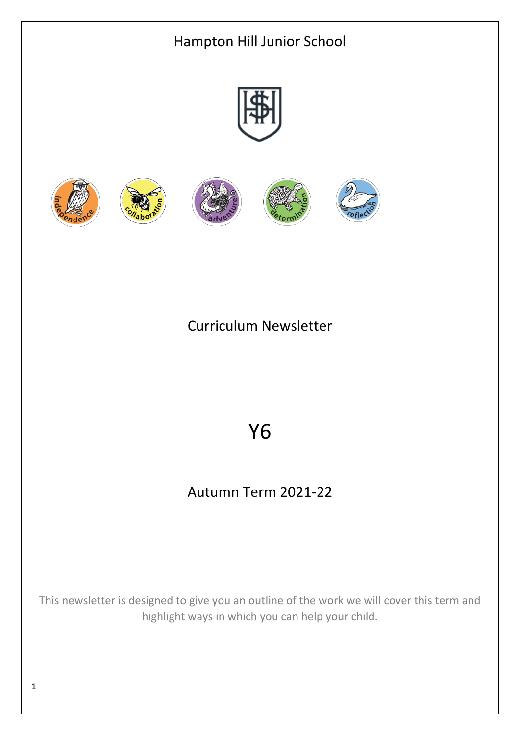

Curriculum Newsletter

# Y6

# Autumn Term 2021-22

This newsletter is designed to give you an outline of the work we will cover this term and highlight ways in which you can help your child.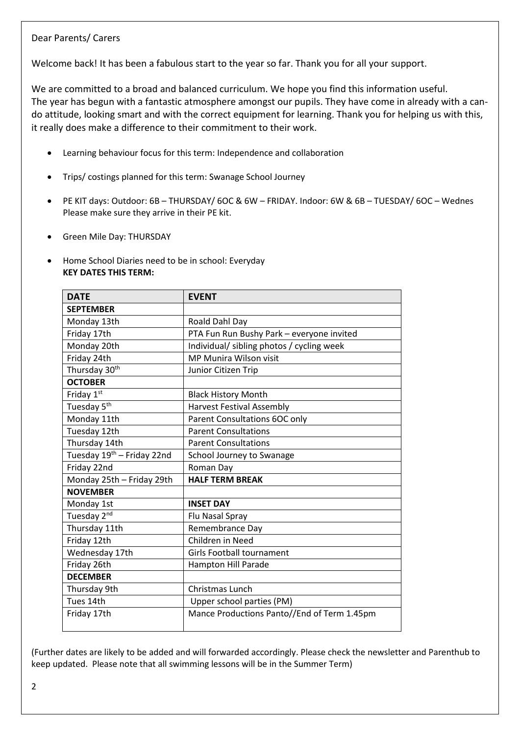## Dear Parents/ Carers

Welcome back! It has been a fabulous start to the year so far. Thank you for all your support.

We are committed to a broad and balanced curriculum. We hope you find this information useful. The year has begun with a fantastic atmosphere amongst our pupils. They have come in already with a cando attitude, looking smart and with the correct equipment for learning. Thank you for helping us with this, it really does make a difference to their commitment to their work.

- Learning behaviour focus for this term: Independence and collaboration
- Trips/ costings planned for this term: Swanage School Journey
- PE KIT days: Outdoor: 6B THURSDAY/ 6OC & 6W FRIDAY. Indoor: 6W & 6B TUESDAY/ 6OC Wednes Please make sure they arrive in their PE kit.
- Green Mile Day: THURSDAY
- Home School Diaries need to be in school: Everyday **KEY DATES THIS TERM:**

| <b>DATE</b>                            | <b>EVENT</b>                                |
|----------------------------------------|---------------------------------------------|
| <b>SEPTEMBER</b>                       |                                             |
| Monday 13th                            | Roald Dahl Day                              |
| Friday 17th                            | PTA Fun Run Bushy Park - everyone invited   |
| Monday 20th                            | Individual/ sibling photos / cycling week   |
| Friday 24th                            | MP Munira Wilson visit                      |
| Thursday 30 <sup>th</sup>              | Junior Citizen Trip                         |
| <b>OCTOBER</b>                         |                                             |
| Friday 1st                             | <b>Black History Month</b>                  |
| Tuesday 5 <sup>th</sup>                | <b>Harvest Festival Assembly</b>            |
| Monday 11th                            | Parent Consultations 6OC only               |
| Tuesday 12th                           | <b>Parent Consultations</b>                 |
| Thursday 14th                          | <b>Parent Consultations</b>                 |
| Tuesday 19 <sup>th</sup> - Friday 22nd | School Journey to Swanage                   |
| Friday 22nd                            | Roman Day                                   |
| Monday 25th - Friday 29th              | <b>HALF TERM BREAK</b>                      |
| <b>NOVEMBER</b>                        |                                             |
| Monday 1st                             | <b>INSET DAY</b>                            |
| Tuesday 2 <sup>nd</sup>                | Flu Nasal Spray                             |
| Thursday 11th                          | Remembrance Day                             |
| Friday 12th                            | Children in Need                            |
| Wednesday 17th                         | <b>Girls Football tournament</b>            |
| Friday 26th                            | Hampton Hill Parade                         |
| <b>DECEMBER</b>                        |                                             |
| Thursday 9th                           | <b>Christmas Lunch</b>                      |
| Tues 14th                              | Upper school parties (PM)                   |
| Friday 17th                            | Mance Productions Panto//End of Term 1.45pm |

(Further dates are likely to be added and will forwarded accordingly. Please check the newsletter and Parenthub to keep updated. Please note that all swimming lessons will be in the Summer Term)